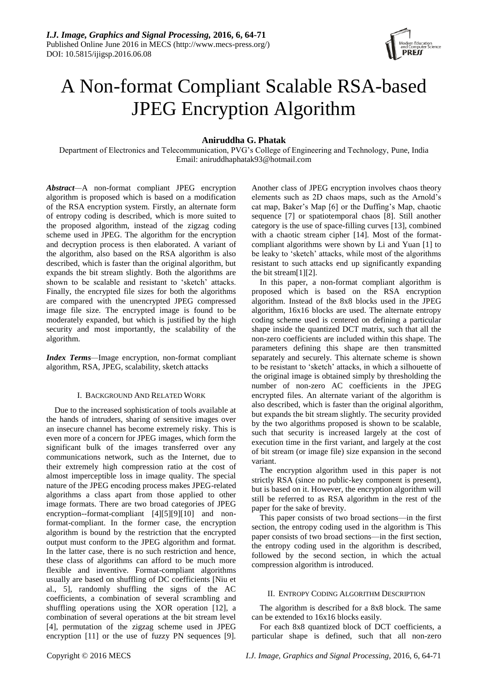

# A Non-format Compliant Scalable RSA-based JPEG Encryption Algorithm

# **Aniruddha G. Phatak**

Department of Electronics and Telecommunication, PVG's College of Engineering and Technology, Pune, India Email: aniruddhaphatak93@hotmail.com

*Abstract—*A non-format compliant JPEG encryption algorithm is proposed which is based on a modification of the RSA encryption system. Firstly, an alternate form of entropy coding is described, which is more suited to the proposed algorithm, instead of the zigzag coding scheme used in JPEG. The algorithm for the encryption and decryption process is then elaborated. A variant of the algorithm, also based on the RSA algorithm is also described, which is faster than the original algorithm, but expands the bit stream slightly. Both the algorithms are shown to be scalable and resistant to 'sketch' attacks. Finally, the encrypted file sizes for both the algorithms are compared with the unencrypted JPEG compressed image file size. The encrypted image is found to be moderately expanded, but which is justified by the high security and most importantly, the scalability of the algorithm.

*Index Terms—*Image encryption, non-format compliant algorithm, RSA, JPEG, scalability, sketch attacks

#### I. BACKGROUND AND RELATED WORK

Due to the increased sophistication of tools available at the hands of intruders, sharing of sensitive images over an insecure channel has become extremely risky. This is even more of a concern for JPEG images, which form the significant bulk of the images transferred over any communications network, such as the Internet, due to their extremely high compression ratio at the cost of almost imperceptible loss in image quality. The special nature of the JPEG encoding process makes JPEG-related algorithms a class apart from those applied to other image formats. There are two broad categories of JPEG encryption--format-compliant [4][5][9][10] and nonformat-compliant. In the former case, the encryption algorithm is bound by the restriction that the encrypted output must conform to the JPEG algorithm and format. In the latter case, there is no such restriction and hence, these class of algorithms can afford to be much more flexible and inventive. Format-compliant algorithms usually are based on shuffling of DC coefficients [Niu et al., 5], randomly shuffling the signs of the AC coefficients, a combination of several scrambling and shuffling operations using the XOR operation [12], a combination of several operations at the bit stream level [4], permutation of the zigzag scheme used in JPEG encryption [11] or the use of fuzzy PN sequences [9].

Another class of JPEG encryption involves chaos theory elements such as 2D chaos maps, such as the Arnold's cat map, Baker's Map [6] or the Duffing's Map, chaotic sequence [7] or spatiotemporal chaos [8]. Still another category is the use of space-filling curves [13], combined with a chaotic stream cipher [14]. Most of the formatcompliant algorithms were shown by Li and Yuan [1] to be leaky to 'sketch' attacks, while most of the algorithms resistant to such attacks end up significantly expanding the bit stream[1][2].

In this paper, a non-format compliant algorithm is proposed which is based on the RSA encryption algorithm. Instead of the 8x8 blocks used in the JPEG algorithm, 16x16 blocks are used. The alternate entropy coding scheme used is centered on defining a particular shape inside the quantized DCT matrix, such that all the non-zero coefficients are included within this shape. The parameters defining this shape are then transmitted separately and securely. This alternate scheme is shown to be resistant to 'sketch' attacks, in which a silhouette of the original image is obtained simply by thresholding the number of non-zero AC coefficients in the JPEG encrypted files. An alternate variant of the algorithm is also described, which is faster than the original algorithm, but expands the bit stream slightly. The security provided by the two algorithms proposed is shown to be scalable, such that security is increased largely at the cost of execution time in the first variant, and largely at the cost of bit stream (or image file) size expansion in the second variant.

The encryption algorithm used in this paper is not strictly RSA (since no public-key component is present), but is based on it. However, the encryption algorithm will still be referred to as RSA algorithm in the rest of the paper for the sake of brevity.

This paper consists of two broad sections—in the first section, the entropy coding used in the algorithm is This paper consists of two broad sections—in the first section, the entropy coding used in the algorithm is described, followed by the second section, in which the actual compression algorithm is introduced.

#### II. ENTROPY CODING ALGORITHM DESCRIPTION

The algorithm is described for a 8x8 block. The same can be extended to 16x16 blocks easily.

For each 8x8 quantized block of DCT coefficients, a particular shape is defined, such that all non-zero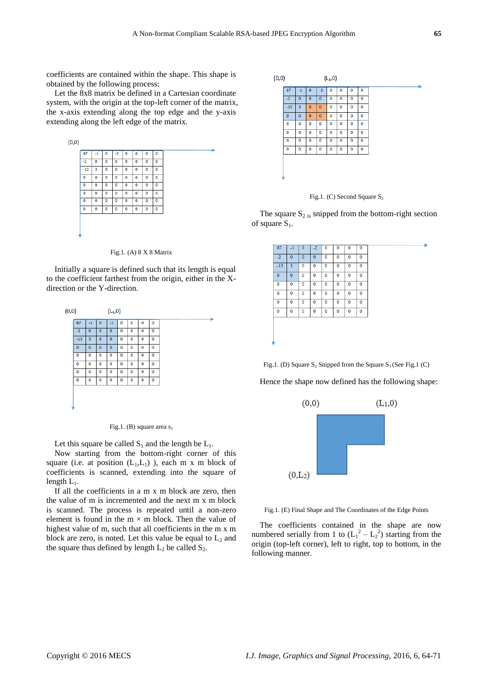coefficients are contained within the shape. This shape is obtained by the following process:

Let the 8x8 matrix be defined in a Cartesian coordinate system, with the origin at the top-left corner of the matrix, the x-axis extending along the top edge and the y-axis extending along the left edge of the matrix.



Fig.1. (A) 8 X 8 Matrix

Initially a square is defined such that its length is equal to the coefficient farthest from the origin, either in the Xdirection or the Y-direction.





Let this square be called  $S_1$  and the length be  $L_1$ .

Now starting from the bottom-right corner of this square (i.e. at position  $(L_1, L_1)$ ), each m x m block of coefficients is scanned, extending into the square of length  $L_1$ .

If all the coefficients in a m x m block are zero, then the value of m is incremented and the next m x m block is scanned. The process is repeated until a non-zero element is found in the  $m \times m$  block. Then the value of highest value of m, such that all coefficients in the m x m block are zero, is noted. Let this value be equal to  $L_2$  and the square thus defined by length  $L_2$  be called  $S_2$ .





The square  $S_{2}$  is snipped from the bottom-right section of square  $S_1$ .

|   | 67          | $-1$        | $\mathbf{0}$ | $-2$        | 0 | 0 | 0 | 0 |
|---|-------------|-------------|--------------|-------------|---|---|---|---|
|   | $-2$        | $\mathbf 0$ | $\mathbf 0$  | $\mathbf 0$ | 0 | 0 | 0 | 0 |
|   | $-13$       | 3           | $\theta$     | 0           | 0 | 0 | 0 | 0 |
|   | $\mathbf 0$ | $\mathbf 0$ | 0            | 0           | 0 | 0 | 0 | 0 |
|   | 0           | 0           | 0            | 0           | 0 | 0 | 0 | 0 |
|   | 0           | 0           | 0            | 0           | 0 | 0 | 0 | 0 |
|   | 0           | 0           | 0            | 0           | 0 | 0 | 0 | 0 |
|   | 0           | 0           | $\mathbf{0}$ | 0           | 0 | 0 | 0 | 0 |
|   |             |             |              |             |   |   |   |   |
|   |             |             |              |             |   |   |   |   |
|   |             |             |              |             |   |   |   |   |
| ٠ |             |             |              |             |   |   |   |   |

Fig.1. (D) Square  $S_2$  Snipped from the Square  $S_1$  (See Fig.1 (C)

Hence the shape now defined has the following shape:



Fig.1. (E) Final Shape and The Coordinates of the Edge Points

The coefficients contained in the shape are now numbered serially from 1 to  $(L_1^2 - L_2^2)$  starting from the origin (top-left corner), left to right, top to bottom, in the following manner.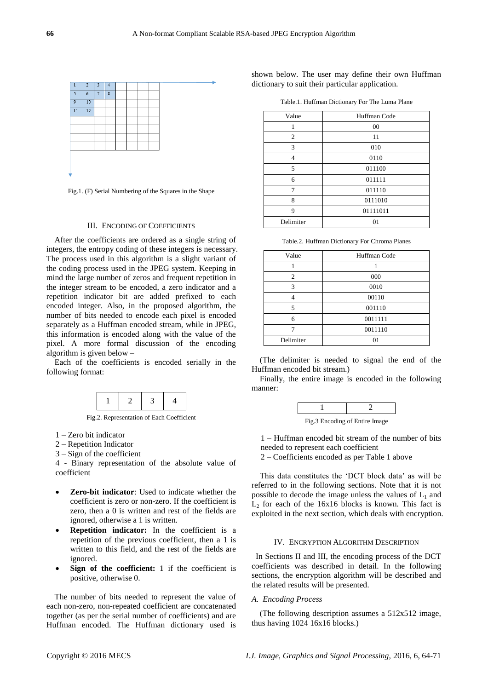

Fig.1. (F) Serial Numbering of the Squares in the Shape

#### III. ENCODING OF COEFFICIENTS

After the coefficients are ordered as a single string of integers, the entropy coding of these integers is necessary. The process used in this algorithm is a slight variant of the coding process used in the JPEG system. Keeping in mind the large number of zeros and frequent repetition in the integer stream to be encoded, a zero indicator and a repetition indicator bit are added prefixed to each encoded integer. Also, in the proposed algorithm, the number of bits needed to encode each pixel is encoded separately as a Huffman encoded stream, while in JPEG, this information is encoded along with the value of the pixel. A more formal discussion of the encoding algorithm is given below –

Each of the coefficients is encoded serially in the following format:



Fig.2. Representation of Each Coefficient

1 – Zero bit indicator

- 2 Repetition Indicator
- 3 Sign of the coefficient

4 - Binary representation of the absolute value of coefficient

- **Zero-bit indicator**: Used to indicate whether the coefficient is zero or non-zero. If the coefficient is zero, then a 0 is written and rest of the fields are ignored, otherwise a 1 is written.
- **Repetition indicator:** In the coefficient is a repetition of the previous coefficient, then a 1 is written to this field, and the rest of the fields are ignored.
- **Sign of the coefficient:** 1 if the coefficient is positive, otherwise 0.

The number of bits needed to represent the value of each non-zero, non-repeated coefficient are concatenated together (as per the serial number of coefficients) and are Huffman encoded. The Huffman dictionary used is

shown below. The user may define their own Huffman dictionary to suit their particular application.

Table.1. Huffman Dictionary For The Luma Plane

| Value     | Huffman Code |
|-----------|--------------|
| 1         | 00           |
| 2         | 11           |
| 3         | 010          |
| 4         | 0110         |
| 5         | 011100       |
| 6         | 011111       |
| 7         | 011110       |
| 8         | 0111010      |
| 9         | 01111011     |
| Delimiter | 01           |
|           |              |

Table.2. Huffman Dictionary For Chroma Planes

| Value          | Huffman Code |  |  |
|----------------|--------------|--|--|
|                |              |  |  |
| $\overline{c}$ | 000          |  |  |
| 3              | 0010         |  |  |
|                | 00110        |  |  |
| 5              | 001110       |  |  |
| 6              | 0011111      |  |  |
|                | 0011110      |  |  |
| Delimiter      |              |  |  |

(The delimiter is needed to signal the end of the Huffman encoded bit stream.)

Finally, the entire image is encoded in the following manner:



Fig.3 Encoding of Entire Image

1 – Huffman encoded bit stream of the number of bits needed to represent each coefficient

2 – Coefficients encoded as per Table 1 above

This data constitutes the 'DCT block data' as will be referred to in the following sections. Note that it is not possible to decode the image unless the values of  $L_1$  and  $L_2$  for each of the 16x16 blocks is known. This fact is exploited in the next section, which deals with encryption.

#### IV. ENCRYPTION ALGORITHM DESCRIPTION

In Sections II and III, the encoding process of the DCT coefficients was described in detail. In the following sections, the encryption algorithm will be described and the related results will be presented.

#### *A. Encoding Process*

(The following description assumes a 512x512 image, thus having 1024 16x16 blocks.)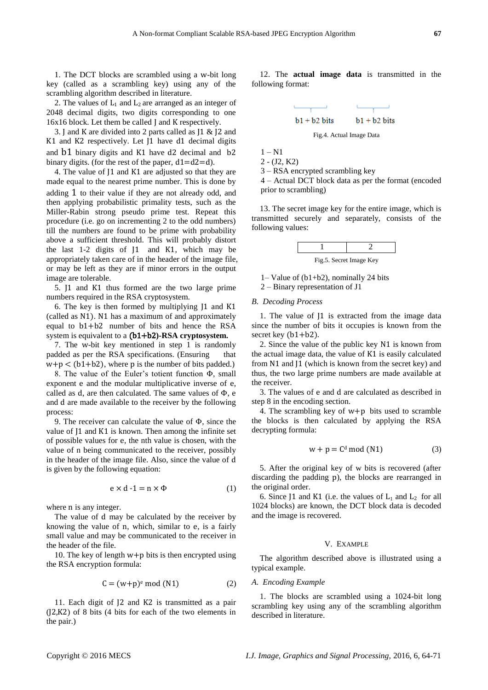1. The DCT blocks are scrambled using a w-bit long key (called as a scrambling key) using any of the scrambling algorithm described in literature.

2. The values of  $L_1$  and  $L_2$  are arranged as an integer of 2048 decimal digits, two digits corresponding to one 16x16 block. Let them be called J and K respectively.

3. J and K are divided into 2 parts called as J1 & J2 and K1 and K2 respectively. Let J1 have d1 decimal digits and b1 binary digits and K1 have d2 decimal and b2 binary digits. (for the rest of the paper,  $d1=d2=d$ ).

4. The value of J1 and K1 are adjusted so that they are made equal to the nearest prime number. This is done by adding 1 to their value if they are not already odd, and then applying probabilistic primality tests, such as the Miller-Rabin strong pseudo prime test. Repeat this procedure (i.e. go on incrementing 2 to the odd numbers) till the numbers are found to be prime with probability above a sufficient threshold. This will probably distort the last 1-2 digits of J1 and K1, which may be appropriately taken care of in the header of the image file, or may be left as they are if minor errors in the output image are tolerable.

5. J1 and K1 thus formed are the two large prime numbers required in the RSA cryptosystem.

6. The key is then formed by multiplying J1 and K1 (called as N1). N1 has a maximum of and approximately equal to b1+b2 number of bits and hence the RSA system is equivalent to a (b1+b2**)-RSA cryptosystem.**

7. The w-bit key mentioned in step 1 is randomly padded as per the RSA specifications. (Ensuring that  $w+p < (b1+b2)$ , where p is the number of bits padded.)

8. The value of the Euler's totient function Φ, small exponent e and the modular multiplicative inverse of e, called as d, are then calculated. The same values of Φ, e and d are made available to the receiver by the following process:

9. The receiver can calculate the value of Φ, since the value of J1 and K1 is known. Then among the infinite set of possible values for e, the nth value is chosen, with the value of n being communicated to the receiver, possibly in the header of the image file. Also, since the value of d is given by the following equation:

$$
e \times d - 1 = n \times \Phi \tag{1}
$$

where n is any integer.

The value of d may be calculated by the receiver by knowing the value of n, which, similar to e, is a fairly small value and may be communicated to the receiver in the header of the file.

10. The key of length w+p bits is then encrypted using the RSA encryption formula:

$$
C = (w+p)^e \mod(N1) \tag{2}
$$

11. Each digit of J2 and K2 is transmitted as a pair (J2,K2) of 8 bits (4 bits for each of the two elements in the pair.)

12. The **actual image data** is transmitted in the following format:



Fig.4. Actual Image Data

 $1 - N1$ 2 - (J2, K2)

3 – RSA encrypted scrambling key

$$
4 -
$$
 Actual DCT block data as per the format (encoded prior to Scrambling)

13. The secret image key for the entire image, which is transmitted securely and separately, consists of the following values:

| Fig.5. Secret Image Key |  |
|-------------------------|--|

1– Value of (b1+b2), nominally 24 bits

2 – Binary representation of J1

## *B. Decoding Process*

1. The value of J1 is extracted from the image data since the number of bits it occupies is known from the secret key (b1+b2).

2. Since the value of the public key N1 is known from the actual image data, the value of K1 is easily calculated from N1 and J1 (which is known from the secret key) and thus, the two large prime numbers are made available at the receiver.

3. The values of e and d are calculated as described in step 8 in the encoding section.

4. The scrambling key of w+p bits used to scramble the blocks is then calculated by applying the RSA decrypting formula:

$$
w + p = Cd \mod(N1)
$$
 (3)

5. After the original key of w bits is recovered (after discarding the padding p), the blocks are rearranged in the original order.

6. Since J1 and K1 (i.e. the values of  $L_1$  and  $L_2$  for all 1024 blocks) are known, the DCT block data is decoded and the image is recovered.

#### V. EXAMPLE

The algorithm described above is illustrated using a typical example.

#### *A. Encoding Example*

1. The blocks are scrambled using a 1024-bit long scrambling key using any of the scrambling algorithm described in literature.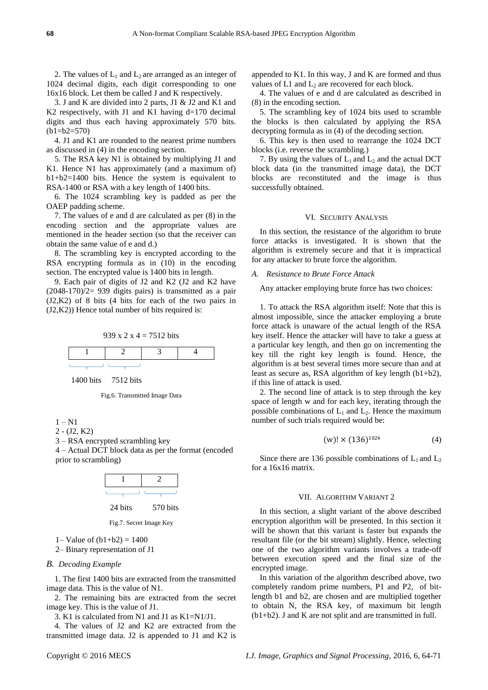2. The values of  $L_1$  and  $L_2$  are arranged as an integer of 1024 decimal digits, each digit corresponding to one 16x16 block. Let them be called J and K respectively.

3. J and K are divided into 2 parts, J1 & J2 and K1 and K2 respectively, with J1 and K1 having d=170 decimal digits and thus each having approximately 570 bits.  $(b1=b2=570)$ 

4. J1 and K1 are rounded to the nearest prime numbers as discussed in (4) in the encoding section.

5. The RSA key N1 is obtained by multiplying J1 and K1. Hence N1 has approximately (and a maximum of) b1+b2=1400 bits. Hence the system is equivalent to RSA-1400 or RSA with a key length of 1400 bits.

6. The 1024 scrambling key is padded as per the OAEP padding scheme.

7. The values of e and d are calculated as per (8) in the encoding section and the appropriate values are mentioned in the header section (so that the receiver can obtain the same value of e and d.)

8. The scrambling key is encrypted according to the RSA encrypting formula as in (10) in the encoding section. The encrypted value is 1400 bits in length.

9. Each pair of digits of J2 and K2 (J2 and K2 have  $(2048-170)/2= 939$  digits pairs) is transmitted as a pair (J2,K2) of 8 bits (4 bits for each of the two pairs in (J2,K2)) Hence total number of bits required is:



1400 bits 7512 bits



```
1 - N1
```
2 - (J2, K2)

3 – RSA encrypted scrambling key

4 – Actual DCT block data as per the format (encoded prior to scrambling)



Fig.7. Secret Image Key

1– Value of  $(b1+b2) = 1400$ 

2– Binary representation of J1

## *B. Decoding Example*

1. The first 1400 bits are extracted from the transmitted image data. This is the value of N1.

2. The remaining bits are extracted from the secret image key. This is the value of J1.

3. K1 is calculated from N1 and J1 as K1=N1/J1.

4. The values of J2 and K2 are extracted from the transmitted image data. J2 is appended to J1 and K2 is appended to K1. In this way, J and K are formed and thus values of  $L1$  and  $L<sub>2</sub>$  are recovered for each block.

4. The values of e and d are calculated as described in (8) in the encoding section.

5. The scrambling key of 1024 bits used to scramble the blocks is then calculated by applying the RSA decrypting formula as in (4) of the decoding section.

6. This key is then used to rearrange the 1024 DCT blocks (i.e. reverse the scrambling.)

7. By using the values of  $L_1$  and  $L_2$  and the actual DCT block data (in the transmitted image data), the DCT blocks are reconstituted and the image is thus successfully obtained.

## VI. SECURITY ANALYSIS

In this section, the resistance of the algorithm to brute force attacks is investigated. It is shown that the algorithm is extremely secure and that it is impractical for any attacker to brute force the algorithm.

## *A. Resistance to Brute Force Attack*

Any attacker employing brute force has two choices:

1. To attack the RSA algorithm itself: Note that this is almost impossible, since the attacker employing a brute force attack is unaware of the actual length of the RSA key itself. Hence the attacker will have to take a guess at a particular key length, and then go on incrementing the key till the right key length is found. Hence, the algorithm is at best several times more secure than and at least as secure as, RSA algorithm of key length (b1+b2), if this line of attack is used.

2. The second line of attack is to step through the key space of length w and for each key, iterating through the possible combinations of  $L_1$  and  $L_2$ . Hence the maximum number of such trials required would be:

$$
(w)! \times (136)^{1024} \tag{4}
$$

Since there are 136 possible combinations of  $L_1$  and  $L_2$ for a 16x16 matrix.

## VII. ALGORITHM VARIANT 2

In this section, a slight variant of the above described encryption algorithm will be presented. In this section it will be shown that this variant is faster but expands the resultant file (or the bit stream) slightly. Hence, selecting one of the two algorithm variants involves a trade-off between execution speed and the final size of the encrypted image.

In this variation of the algorithm described above, two completely random prime numbers, P1 and P2, of bitlength b1 and b2, are chosen and are multiplied together to obtain N, the RSA key, of maximum bit length (b1+b2). J and K are not split and are transmitted in full.

Copyright © 2016 MECS *I.J. Image, Graphics and Signal Processing,* 2016, 6, 64-71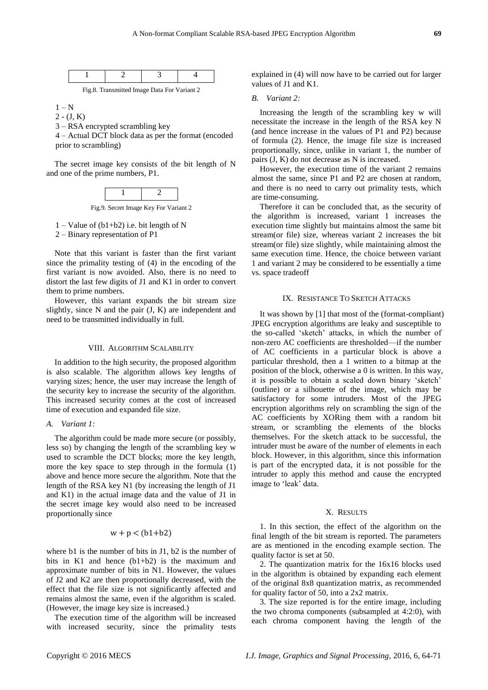Fig.8. Transmitted Image Data For Variant 2

 $1 - N$ 

 $2 - (J, K)$ 

3 – RSA encrypted scrambling key

4 – Actual DCT block data as per the format (encoded prior to scrambling)

The secret image key consists of the bit length of N and one of the prime numbers, P1.



Fig.9. Secret Image Key For Variant 2

 $1 -$ Value of (b1+b2) i.e. bit length of N

2 – Binary representation of P1

Note that this variant is faster than the first variant since the primality testing of (4) in the encoding of the first variant is now avoided. Also, there is no need to distort the last few digits of J1 and K1 in order to convert them to prime numbers.

However, this variant expands the bit stream size slightly, since N and the pair (J, K) are independent and need to be transmitted individually in full.

#### VIII. ALGORITHM SCALABILITY

In addition to the high security, the proposed algorithm is also scalable. The algorithm allows key lengths of varying sizes; hence, the user may increase the length of the security key to increase the security of the algorithm. This increased security comes at the cost of increased time of execution and expanded file size.

#### *A. Variant 1:*

The algorithm could be made more secure (or possibly, less so) by changing the length of the scrambling key w used to scramble the DCT blocks; more the key length, more the key space to step through in the formula (1) above and hence more secure the algorithm. Note that the length of the RSA key N1 (by increasing the length of J1 and K1) in the actual image data and the value of J1 in the secret image key would also need to be increased proportionally since

# $w + p < (b1 + b2)$

where b1 is the number of bits in J1, b2 is the number of bits in K1 and hence (b1+b2) is the maximum and approximate number of bits in N1. However, the values of J2 and K2 are then proportionally decreased, with the effect that the file size is not significantly affected and remains almost the same, even if the algorithm is scaled. (However, the image key size is increased.)

The execution time of the algorithm will be increased with increased security, since the primality tests

explained in (4) will now have to be carried out for larger values of J1 and K1.

## *B. Variant 2:*

Increasing the length of the scrambling key w will necessitate the increase in the length of the RSA key N (and hence increase in the values of P1 and P2) because of formula (2). Hence, the image file size is increased proportionally, since, unlike in variant 1, the number of pairs (J, K) do not decrease as N is increased.

However, the execution time of the variant 2 remains almost the same, since P1 and P2 are chosen at random, and there is no need to carry out primality tests, which are time-consuming.

Therefore it can be concluded that, as the security of the algorithm is increased, variant 1 increases the execution time slightly but maintains almost the same bit stream(or file) size, whereas variant 2 increases the bit stream(or file) size slightly, while maintaining almost the same execution time. Hence, the choice between variant 1 and variant 2 may be considered to be essentially a time vs. space tradeoff

#### IX. RESISTANCE TO SKETCH ATTACKS

It was shown by [1] that most of the (format-compliant) JPEG encryption algorithms are leaky and susceptible to the so-called 'sketch' attacks, in which the number of non-zero AC coefficients are thresholded—if the number of AC coefficients in a particular block is above a particular threshold, then a 1 written to a bitmap at the position of the block, otherwise a 0 is written. In this way, it is possible to obtain a scaled down binary 'sketch' (outline) or a silhouette of the image, which may be satisfactory for some intruders. Most of the JPEG encryption algorithms rely on scrambling the sign of the AC coefficients by XORing them with a random bit stream, or scrambling the elements of the blocks themselves. For the sketch attack to be successful, the intruder must be aware of the number of elements in each block. However, in this algorithm, since this information is part of the encrypted data, it is not possible for the intruder to apply this method and cause the encrypted image to 'leak' data.

#### X. RESULTS

1. In this section, the effect of the algorithm on the final length of the bit stream is reported. The parameters are as mentioned in the encoding example section. The quality factor is set at 50.

2. The quantization matrix for the 16x16 blocks used in the algorithm is obtained by expanding each element of the original 8x8 quantization matrix, as recommended for quality factor of 50, into a 2x2 matrix.

3. The size reported is for the entire image, including the two chroma components (subsampled at 4:2:0), with each chroma component having the length of the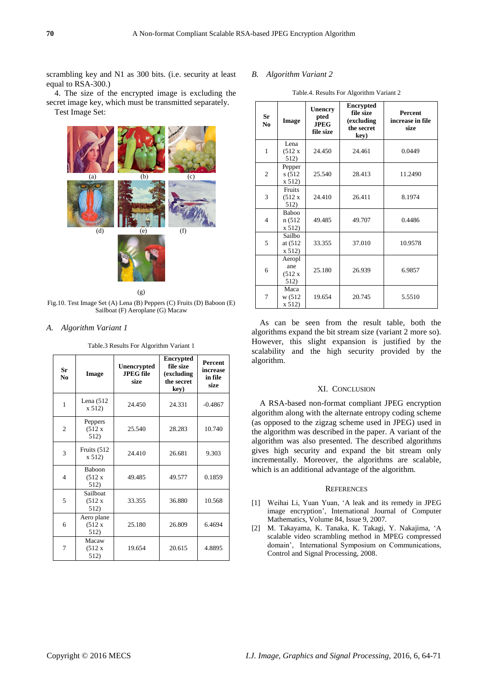scrambling key and N1 as 300 bits. (i.e. security at least equal to RSA-300.)

4. The size of the encrypted image is excluding the secret image key, which must be transmitted separately. Test Image Set:



(g)

Fig.10. Test Image Set (A) Lena (B) Peppers (C) Fruits (D) Baboon (E) Sailboat (F) Aeroplane (G) Macaw

## *A. Algorithm Variant 1*

Table.3 Results For Algorithm Variant 1

| Sr<br>N <sub>0</sub> | Image                           | <b>Unencrypted</b><br><b>JPEG</b> file<br>size | <b>Encrypted</b><br>file size<br>(excluding<br>the secret<br>key) | <b>Percent</b><br>increase<br>in file<br>size |
|----------------------|---------------------------------|------------------------------------------------|-------------------------------------------------------------------|-----------------------------------------------|
| 1                    | Lena $(512)$<br>x 512           | 24.450                                         | 24.331                                                            | $-0.4867$                                     |
| $\overline{2}$       | Peppers<br>(512 x)<br>512)      | 25.540                                         | 28.283                                                            | 10.740                                        |
| 3                    | Fruits (512<br>x 512            | 24.410                                         | 26.681                                                            | 9.303                                         |
| $\overline{4}$       | <b>Baboon</b><br>(512 x<br>512) | 49.485                                         | 49.577                                                            | 0.1859                                        |
| 5                    | Sailboat<br>(512 x)<br>512)     | 33.355                                         | 36.880                                                            | 10.568                                        |
| 6                    | Aero plane<br>(512 x<br>512)    | 25.180                                         | 26.809                                                            | 6.4694                                        |
| 7                    | Macaw<br>(512 x)<br>512)        | 19.654                                         | 20.615                                                            | 4.8895                                        |

## *B. Algorithm Variant 2*

Table.4. Results For Algorithm Variant 2

| Sr<br>No       | Image                            | <b>Unencry</b><br>pted<br><b>JPEG</b><br>file size | Encrypted<br>file size<br>(excluding<br>the secret<br>key) | <b>Percent</b><br>increase in file<br>size |
|----------------|----------------------------------|----------------------------------------------------|------------------------------------------------------------|--------------------------------------------|
| 1              | Lena<br>(512 x)<br>512)          | 24.450                                             | 24.461                                                     | 0.0449                                     |
| $\overline{2}$ | Pepper<br>s (512<br>x 512)       | 25.540                                             | 28.413                                                     | 11.2490                                    |
| 3              | <b>Fruits</b><br>(512 x)<br>512) | 24.410                                             | 26.411                                                     | 8.1974                                     |
| $\overline{4}$ | <b>Baboo</b><br>n (512<br>x 512) | 49.485                                             | 49.707                                                     | 0.4486                                     |
| 5              | Sailbo<br>at (512)<br>x 512)     | 33.355                                             | 37.010                                                     | 10.9578                                    |
| 6              | Aeropl<br>ane<br>(512 x<br>512)  | 25.180                                             | 26.939                                                     | 6.9857                                     |
| 7              | Maca<br>w (512<br>x 512)         | 19.654                                             | 20.745                                                     | 5.5510                                     |

As can be seen from the result table, both the algorithms expand the bit stream size (variant 2 more so). However, this slight expansion is justified by the scalability and the high security provided by the algorithm.

## XI. CONCLUSION

A RSA-based non-format compliant JPEG encryption algorithm along with the alternate entropy coding scheme (as opposed to the zigzag scheme used in JPEG) used in the algorithm was described in the paper. A variant of the algorithm was also presented. The described algorithms gives high security and expand the bit stream only incrementally. Moreover, the algorithms are scalable, which is an additional advantage of the algorithm.

#### **REFERENCES**

- [1] Weihai Li, Yuan Yuan, 'A leak and its remedy in JPEG image encryption', International Journal of Computer Mathematics, [Volume 84,](http://www.tandfonline.com/loi/gcom20?open=84#vol_84) [Issue 9,](http://www.tandfonline.com/toc/gcom20/84/9) 2007.
- [2] M. Takayama, K. Tanaka, K. Takagi, Y. Nakajima, 'A scalable video scrambling method in MPEG compressed domain', International Symposium on Communications, Control and Signal Processing, 2008.